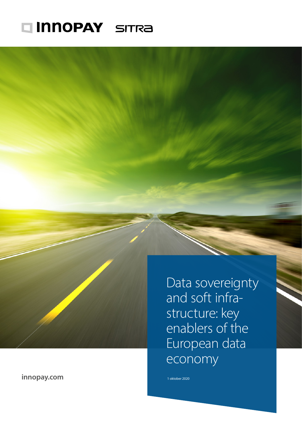# Innopay SITRA

**[innopay.com](https://www.innopay.com/en)**

Data sovereignty and soft infra structure: key enablers of the European data economy

1 oktober 2020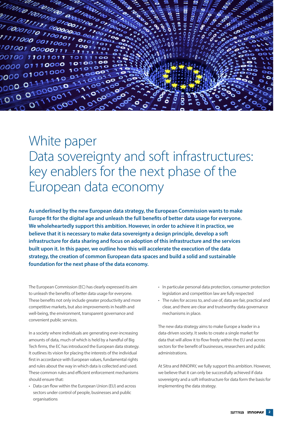

## White paper Data sovereignty and soft infrastructures: key enablers for the next phase of the European data economy

**As underlined by the new European data strategy, the European Commission wants to make Europe fit for the digital age and unleash the full benefits of better data usage for everyone. We wholeheartedly support this ambition. However, in order to achieve it in practice, we believe that it is necessary to make data sovereignty a design principle, develop a soft infrastructure for data sharing and focus on adoption of this infrastructure and the services built upon it. In this paper, we outline how this will accelerate the execution of the data strategy, the creation of common European data spaces and build a solid and sustainable foundation for the next phase of the data economy.**

The European Commission (EC) has clearly expressed its aim to unleash the benefits of better data usage for everyone. These benefits not only include greater productivity and more competitive markets, but also improvements in health and well-being, the environment, transparent governance and convenient public services.

In a society where individuals are generating ever-increasing amounts of data, much of which is held by a handful of Big Tech firms, the EC has introduced the European data strategy. It outlines its vision for placing the interests of the individual first in accordance with European values, fundamental rights and rules about the way in which data is collected and used. These common rules and efficient enforcement mechanisms should ensure that:

• Data can flow within the European Union (EU) and across sectors under control of people, businesses and public organisations

- In particular personal data protection, consumer protection legislation and competition law are fully respected
- The rules for access to, and use of, data are fair, practical and clear, and there are clear and trustworthy data governance mechanisms in place.

The new data strategy aims to make Europe a leader in a data-driven society. It seeks to create a single market for data that will allow it to flow freely within the EU and across sectors for the benefit of businesses, researchers and public administrations.

At Sitra and INNOPAY, we fully support this ambition. However, we believe that it can only be successfully achieved if data sovereignty and a soft infrastructure for data form the basis for implementing the data strategy.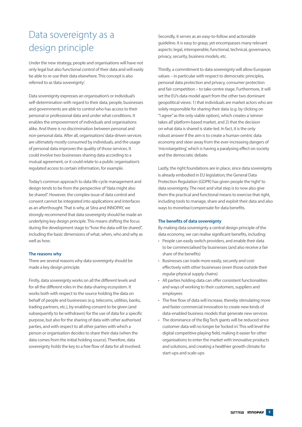## Data sovereignty as a design principle

Under the new strategy, people and organisations will have not only legal but also functional control of their data and will easily be able to re-use their data elsewhere. This concept is also referred to as 'data sovereignty'.

Data sovereignty expresses an organisation's or individual's self-determination with regard to their data; people, businesses and governments are able to control who has access to their personal or professional data and under what conditions. It enables the empowerment of individuals and organisations alike. And there is no discrimination between personal and non-personal data. After all, organisations' data-driven services are ultimately mostly consumed by individuals, and the usage of personal data improves the quality of those services. It could involve two businesses sharing data according to a mutual agreement, or it could relate to a public organisation's regulated access to certain information, for example.

Today's common approach to data life cycle management and design tends to be from the perspective of "data might also be shared". However, the complex issue of data control and consent cannot be integrated into applications and interfaces as an afterthought. That is why, at Sitra and INNOPAY, we strongly recommend that data sovereignty should be made an underlying key design principle. This means shifting the focus during the development stage to "how the data will be shared", including the basic dimensions of what, when, who and why as well as how.

#### **The reasons why**

There are several reasons why data sovereignty should be made a key design principle.

Firstly, data sovereignty works on all the different levels and for all the different roles in the data-sharing ecosystem. It works both with respect to the source holding the data on behalf of people and businesses (e.g. telecoms, utilities, banks, trading partners, etc.), by enabling consent to be given (and subsequently to be withdrawn) for the use of data for a specific purpose, but also for the sharing of data with other authorised parties, and with respect to all other parties with which a person or organisation decides to share their data (when the data comes from the initial holding source). Therefore, data sovereignty holds the key to a free flow of data for all involved.

Secondly, it serves as an easy-to-follow and actionable guideline. It is easy to grasp, yet encompasses many relevant aspects: legal, interoperable, functional, technical, governance, privacy, security, business models, etc.

Thirdly, a commitment to data sovereignty will allow European values – in particular with respect to democratic principles, personal data protection and privacy, consumer protection and fair competition – to take centre stage. Furthermore, it will set the EU's data model apart from the other two dominant geopolitical views: 1) that individuals are market actors who are solely responsible for sharing their data (e.g. by clicking on "I agree" as the only viable option), which creates a 'winner takes all' platform-based market, and 2) that the decision on what data is shared is state-led. In fact, it is the only robust answer if the aim is to create a human-centric data economy and steer away from the ever-increasing dangers of 'microtargeting', which is having a paralysing effect on society and the democratic debate.

Lastly, the right foundations are in place, since data sovereignty is already embodied in EU legislation; the General Data Protection Regulation (GDPR) has given people the 'right' to data sovereignty. The next and vital step is to now also give them the practical and functional means to exercise that right, including tools to manage, share and exploit their data and also ways to monetise/compensate for data benefits.

#### **The benefits of data sovereignty**

By making data sovereignty a central design principle of the data economy, we can realise significant benefits, including:

- People can easily switch providers, and enable their data to be commercialised by businesses (and also receive a fair share of the benefits)
- Businesses can trade more easily, securely and costeffectively with other businesses (even those outside their regular physical supply chains)
- All parties holding data can offer consistent functionalities and ways of working to their customers, suppliers and employees
- The free flow of data will increase, thereby stimulating more and faster commercial innovation to create new kinds of data-enabled business models that generate new services
- The dominance of the Big Tech giants will be reduced since customer data will no longer be 'locked in'. This will level the digital competitive playing field, making it easier for other organisations to enter the market with innovative products and solutions, and creating a healthier growth climate for start-ups and scale-ups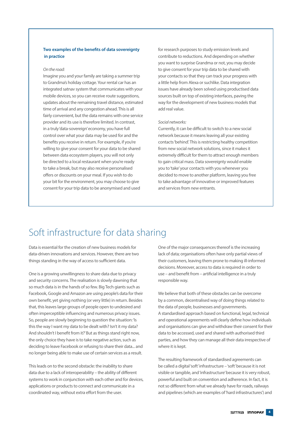#### **Two examples of the benefits of data sovereignty in practice**

#### *On the road:*

Imagine you and your family are taking a summer trip to Grandma's holiday cottage. Your rental car has an integrated satnav system that communicates with your mobile devices, so you can receive route suggestions, updates about the remaining travel distance, estimated time of arrival and any congestion ahead. This is all fairly convenient, but the data remains with one service provider and its use is therefore limited. In contrast, in a truly 'data-sovereign' economy, you have full control over what your data may be used for and the benefits you receive in return. For example, if you're willing to give your consent for your data to be shared between data ecosystem players, you will not only be directed to a local restaurant when you're ready to take a break, but may also receive personalised offers or discounts on your meal. If you wish to do your bit for the environment, you may choose to give consent for your trip data to be anonymised and used

for research purposes to study emission levels and contribute to reductions. And depending on whether you want to surprise Grandma or not, you may decide to give consent for your trip data to be shared with your contacts so that they can track your progress with a little help from Alexa or suchlike. Data integration issues have already been solved using productised data sources built on top of existing interfaces, paving the way for the development of new business models that add real value.

#### *Social networks:*

Currently, it can be difficult to switch to a new social network because it means leaving all your existing contacts 'behind'. This is restricting healthy competition from new social network solutions, since it makes it extremely difficult for them to attract enough members to gain critical mass. Data sovereignty would enable you to 'take' your contacts with you whenever you decided to move to another platform, leaving you free to take advantage of innovative or improved features and services from new entrants.

### Soft infrastructure for data sharing

Data is essential for the creation of new business models for data-driven innovations and services. However, there are two things standing in the way of access to sufficient data.

One is a growing unwillingness to share data due to privacy and security concerns. The realisation is slowly dawning that so much data is in the hands of so few. Big Tech giants such as Facebook, Google and Amazon are using people's data for their own benefit, yet giving nothing (or very little) in return. Besides that, this leaves large groups of people open to undesired and often imperceptible influencing and numerous privacy issues. So, people are slowly beginning to question the situation: 'Is this the way I want my data to be dealt with? Isn't it my data? And shouldn't I benefit from it?' But as things stand right now, the only choice they have is to take negative action, such as deciding to leave Facebook or refusing to share their data... and no longer being able to make use of certain services as a result.

This leads on to the second obstacle: the inability to share data due to a lack of interoperability – the ability of different systems to work in conjunction with each other and for devices, applications or products to connect and communicate in a coordinated way, without extra effort from the user.

One of the major consequences thereof is the increasing lack of data; organisations often have only partial views of their customers, leaving them prone to making ill-informed decisions. Moreover, access to data is required in order to use – and benefit from – artificial intelligence in a truly responsible way.

We believe that both of these obstacles can be overcome by a common, decentralised way of doing things related to the data of people, businesses and governments. A standardised approach based on functional, legal, technical and operational agreements will clearly define how individuals and organisations can give and withdraw their consent for their data to be accessed, used and shared with authorised third parties, and how they can manage all their data irrespective of where it is kept.

The resulting framework of standardised agreements can be called a digital 'soft' infrastructure – 'soft' because it is not visible or tangible, and 'infrastructure' because it is very robust, powerful and built on convention and adherence. In fact, it is not so different from what we already have for roads, railways and pipelines (which are examples of 'hard infrastructures') and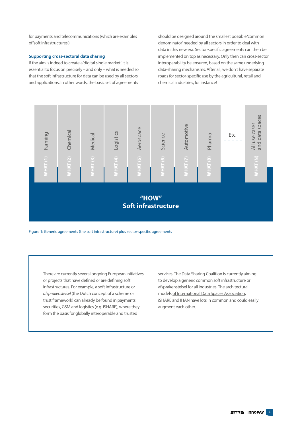for payments and telecommunications (which are examples of 'soft infrastructures').

#### **Supporting cross-sectoral data sharing**

If the aim is indeed to create a 'digital single market', it is essential to focus on precisely – and only – what is needed so that the soft infrastructure for data can be used by all sectors and applications. In other words, the basic set of agreements

should be designed around the smallest possible 'common denominator' needed by all sectors in order to deal with data in this new era. Sector-specific agreements can then be implemented on top as necessary. Only then can cross-sector interoperability be ensured, based on the same underlying data-sharing mechanisms. After all, we don't have separate roads for sector-specific use by the agricultural, retail and chemical industries, for instance!



Figure 1: Generic agreements (the soft infrastructure) plus sector-specific agreements

There are currently several ongoing European initiatives or projects that have defined or are defining soft infrastructures. For example, a soft infrastructure or *[afsprakenstelsel](https://www.youtube.com/watch?v=07YE0h2Axrs&t=2s)* (the Dutch concept of a scheme or trust framework) can already be found in payments, securities, GSM and logistics (e.g. iSHARE), where they form the basis for globally interoperable and trusted

services. The Data Sharing Coalition is currently aiming to develop a generic common soft infrastructure or afsprakenstelsel for all industries. The architectural models [of International Data Spaces Association](https://www.internationaldataspaces.org/), [iSHARE](https://www.ishareworks.org/) and [IHAN](https://ihan.fi/) have lots in common and could easily augment each other.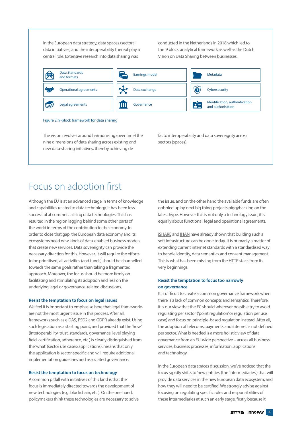In the European data strategy, data spaces (sectoral data initiatives) and the interoperability thereof play a central role. Extensive research into data sharing was Vision on Data Sharing bet

conducted in the Netherlands in 2018 which led to the '9 block' analytical framework as well as the Dutch Vision on Data Sharing between businesses.



### Focus on adoption first

resulted in the region lagging behind some other parts of **the solution of the solution** of the region lagging behind some other parts of order to close that gap, the European data economy and its ecosystems need new kinds of data-enabled business models necessary direction for this. However, it will require the efforts towards the same goals rather than taking a fragmented Although the EU is at an advanced stage in terms of knowledge and capabilities related to data technology, it has been less successful at commercialising data technologies. This has the world in terms of the contribution to the economy. In that create new services. Data sovereignty can provide the to be prioritised; all activities (and funds) should be channelled approach. Moreover, the focus should be more firmly on facilitating and stimulating its adoption and less on the underlying legal or governance-related discussions.

#### **Resist the temptation to focus on legal issues**

We feel it is important to emphasise here that legal frameworks are not the most urgent issue in this process. After all, frameworks such as eIDAS, PSD2 and GDPR already exist. Using such legislation as a starting point, and provided that the 'how' (interoperability, trust, standards, governance, level playing field, certification, adherence, etc.) is clearly distinguished from the 'what' (sector use cases/applications), means that only the application is sector-specific and will require additional implementation guidelines and associated governance.

#### **Resist the temptation to focus on technology**

A common pitfall with initiatives of this kind is that the focus is immediately directed towards the development of new technologies (e.g. blockchain, etc.). On the one hand, policymakers think these technologies are necessary to solve the issue, and on the other hand the available funds are often gobbled up by 'next big thing' projects piggybacking on the latest hype. However this is not only a technology issue; it is equally about functional, legal and operational agreements.

earnings model metals and metals of the soft infrastructure can be done today. It is primarily a matter of to handle identity, data semantics and consent management. **ISHARE** and **IHAN** have already shown that building such a extending current internet standards with a standardised way This is what has been missing from the HTTP stack from its very beginnings.

#### **Resist the temptation to focus too narrowly on governance**

It is difficult to create a common governance framework when there is a lack of common concepts and semantics. Therefore, it is our view that the EC should wherever possible try to avoid regulating per sector ('point regulation' or regulation per use case) and focus on principle-based regulation instead. After all, the adoption of telecoms, payments and internet is not defined per sector. What is needed is a more holistic view of data governance from an EU-wide perspective – across all business services, business processes, information, applications and technology.

In the European data spaces discussion, we've noticed that the focus rapidly shifts to 'new entities' (the 'intermediaries') that will provide data services in the new European data ecosystem, and how they will need to be certified. We strongly advise against focusing on regulating specific roles and responsibilities of these intermediaries at such an early stage, firstly because it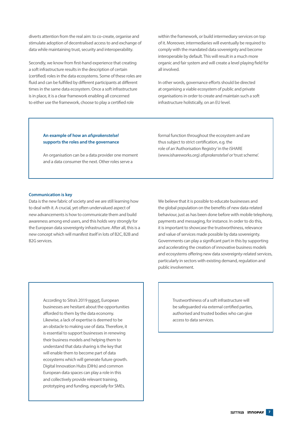diverts attention from the real aim: to co-create, organise and stimulate adoption of decentralised access to and exchange of data while maintaining trust, security and interoperability.

Secondly, we know from first-hand experience that creating a soft infrastructure results in the description of certain (certified) roles in the data ecosystems. Some of these roles are fluid and can be fulfilled by different participants at different times in the same data ecosystem. Once a soft infrastructure is in place, it is a clear framework enabling all concerned to either use the framework, choose to play a certified role

within the framework, or build intermediary services on top of it. Moreover, intermediaries will eventually be required to comply with the mandated data sovereignty and become interoperable by default. This will result in a much more organic and fair system and will create a level playing field for all involved.

In other words, governance efforts should be directed at organising a viable ecosystem of public and private organisations in order to create and maintain such a soft infrastructure holistically, on an EU level.

#### **An example of how an** *afsprakenstelsel* **supports the roles and the governance**

An organisation can be a data provider one moment and a data consumer the next. Other roles serve a

formal function throughout the ecosystem and are thus subject to strict certification, e.g. the role of an 'Authorisation Registry' in the iSHARE [\(www.ishareworks.org\)](https://www.ishareworks.org/) *afsprakenstelsel* or 'trust scheme'.

#### **Communication is key**

Data is the new fabric of society and we are still learning how to deal with it. A crucial, yet often undervalued aspect of new advancements is how to communicate them and build awareness among end users, and this holds very strongly for the European data sovereignty infrastructure. After all, this is a new concept which will manifest itself in lots of B2C, B2B and B2G services.

We believe that it is possible to educate businesses and the global population on the benefits of new data-related behaviour, just as has been done before with mobile telephony, payments and messaging, for instance. In order to do this, it is important to showcase the trustworthiness, relevance and value of services made possible by data sovereignty. Governments can play a significant part in this by supporting and accelerating the creation of innovative business models and ecosystems offering new data sovereignty-related services, particularly in sectors with existing demand, regulation and public involvement.

According to Sitra's 2019 [report](https://www.sitra.fi/en/publications/the-future-of-european-companies-in-data-economy/), European businesses are hesitant about the opportunities afforded to them by the data economy. Likewise, a lack of expertise is deemed to be an obstacle to making use of data. Therefore, it is essential to support businesses in renewing their business models and helping them to understand that data sharing is the key that will enable them to become part of data ecosystems which will generate future growth. Digital Innovation Hubs (DIHs) and common European data spaces can play a role in this and collectively provide relevant training, prototyping and funding, especially for SMEs.

Trustworthiness of a soft infrastructure will be safeguarded via external certified parties, authorised and trusted bodies who can give access to data services.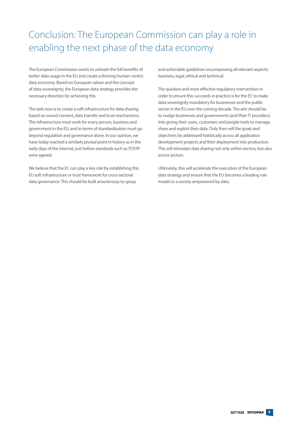Conclusion: The European Commission can play a role in enabling the next phase of the data economy

The European Commission wants to unleash the full benefits of better data usage in the EU and create a thriving human-centric data economy. Based on European values and the concept of data sovereignty, the European data strategy provides the necessary direction for achieving this.

The task now is to create a soft infrastructure for data sharing based on sound consent, data transfer and trust mechanisms. The infrastructure must work for every person, business and government in the EU, and in terms of standardisation must go beyond regulation and governance alone. In our opinion, we have today reached a similarly pivotal point in history as in the early days of the internet, just before standards such as TCP/IP were agreed.

We believe that the EC can play a key role by establishing this EU soft infrastructure or trust framework for cross-sectoral data governance. This should be built around easy-to-grasp

and actionable guidelines encompassing all relevant aspects: business, legal, ethical and technical.

The quickest and most effective regulatory intervention in order to ensure this succeeds in practice is for the EC to make data sovereignty mandatory for businesses and the public sector in the EU over the coming decade. The aim should be to nudge businesses and governments (and their IT providers) into giving their users, customers and people tools to manage, share and exploit their data. Only then will the goals and objectives be addressed holistically across all application development projects and their deployment into production. This will stimulate data sharing not only within sectors, but also across sectors.

Ultimately, this will accelerate the execution of the European data strategy and ensure that the EU becomes a leading role model as a society empowered by data.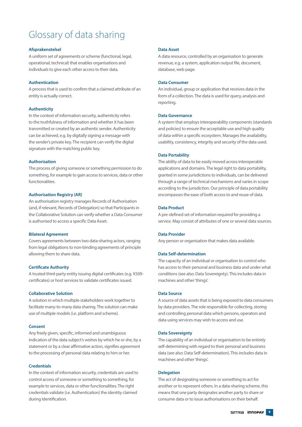### Glossary of data sharing

#### **Afsprakenstelsel**

A uniform set of agreements or scheme (functional, legal, operational, technical) that enables organisations and individuals to give each other access to their data.

#### **Authentication**

A process that is used to confirm that a claimed attribute of an entity is actually correct.

#### **Authenticity**

In the context of information security, authenticity refers to the truthfulness of information and whether it has been transmitted or created by an authentic sender. Authenticity can be achieved, e.g. by digitally signing a message with the sender's private key. The recipient can verify the digital signature with the matching public key.

#### **Authorisation**

The process of giving someone or something permission to do something, for example to gain access to services, data or other functionalities.

#### **Authorisation Registry (AR)**

An authorisation registry manages Records of Authorisation (and, if relevant, Records of Delegation) so that Participants in the Collaborative Solution can verify whether a Data Consumer is authorised to access a specific Data Asset.

#### **Bilateral Agreement**

Covers agreements between two data-sharing actors, ranging from legal obligations to non-binding agreements of principle allowing them to share data.

#### **Certificate Authority**

A trusted third-party entity issuing digital certificates (e.g. X509 certificates) or host services to validate certificates issued.

#### **Collaborative Solution**

A solution in which multiple stakeholders work together to facilitate many-to-many data sharing. The solution can make use of multiple models (i.e. platform and scheme).

#### **Consent**

Any freely given, specific, informed and unambiguous indication of the data subject's wishes by which he or she, by a statement or by a clear affirmative action, signifies agreement to the processing of personal data relating to him or her.

#### **Credentials**

In the context of information security, credentials are used to control access of someone or something to something, for example to services, data or other functionalities. The right credentials validate (i.e. Authentication) the identity claimed during Identification.

#### **Data Asset**

A data resource, controlled by an organisation to generate revenue, e.g. a system, application output file, document, database, web page.

#### **Data Consumer**

An individual, group or application that receives data in the form of a collection. The data is used for query, analysis and reporting.

#### **Data Governance**

A system that employs interoperability components (standards and policies) to ensure the acceptable use and high quality of data within a specific ecosystem. Manages the availability, usability, consistency, integrity and security of the data used.

#### **Data Portability**

The ability of data to be easily moved across interoperable applications and domains. The legal right to data portability, granted in some jurisdictions to individuals, can be delivered through a range of technical mechanisms and varies in scope according to the jurisdiction. Our principle of data portability encompasses the ease of both access to and reuse of data.

#### **Data Product**

A pre-defined set of information required for providing a service. May consist of attributes of one or several data sources.

#### **Data Provider**

Any person or organisation that makes data available.

#### **Data Self-determination**

The capacity of an individual or organisation to control who has access to their personal and business data and under what conditions (see also: Data Sovereignty). This includes data in machines and other 'things'.

#### **Data Source**

A source of data assets that is being exposed to data consumers by data providers. The role responsible for collecting, storing and controlling personal data which persons, operators and data-using services may wish to access and use.

#### **Data Sovereignty**

The capability of an individual or organisation to be entirely self-determining with regard to their personal and business data (see also: Data Self-determination). This includes data in machines and other 'things'.

#### **Delegation**

The act of designating someone or something to act for another or to represent others. In a data-sharing scheme, this means that one party designates another party to share or consume data or to issue authorisations on their behalf.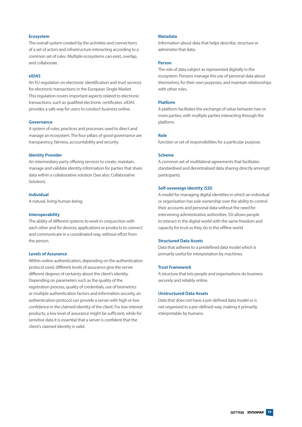#### **Ecosystem**

The overall system created by the activities and connections of a set of actors and infrastructure interacting according to a common set of rules. Multiple ecosystems can exist, overlap, and collaborate.

#### **eIDAS**

An EU regulation on electronic identification and trust services for electronic transactions in the European Single Market. This regulation covers important aspects related to electronic transactions, such as qualified electronic certificates. eIDAS provides a safe way for users to conduct business online.

#### **Governance**

A system of rules, practices and processes used to direct and manage an ecosystem. The four pillars of good governance are transparency, fairness, accountability and security.

#### **Identity Provider**

An intermediary party offering services to create, maintain, manage and validate identity information for parties that share data within a collaborative solution (See also: Collaborative Solution).

#### **Individual**

A natural, living human being.

#### **Interoperability**

The ability of different systems to work in conjunction with each other and for devices, applications or products to connect and communicate in a coordinated way, without effort from the person.

#### **Levels of Assurance**

Within online authentication, depending on the authentication protocol used, different levels of assurance give the server different degrees of certainty about the client's identity. Depending on parameters such as the quality of the registration process, quality of credentials, use of biometrics or multiple authentication factors and information security, an authentication protocol can provide a server with high or low confidence in the claimed identity of the client. For low-interest products, a low level of assurance might be sufficient, while for sensitive data it is essential that a server is confident that the client's claimed identity is valid.

#### **Metadata**

Information about data that helps describe, structure or administer that data.

#### **Person**

The role of data subject as represented digitally in the ecosystem. Persons manage the use of personal data about themselves, for their own purposes, and maintain relationships with other roles.

#### **Platform**

A platform facilitates the exchange of value between two or more parties, with multiple parties interacting through the platform.

#### **Role**

function or set of responsibilities for a particular purpose.

#### **Scheme**

A common set of multilateral agreements that facilitates standardised and decentralised data sharing directly amongst participants.

#### **Self-sovereign Identity (SSI)**

A model for managing digital identities in which an individual or organisation has sole ownership over the ability to control their accounts and personal data without the need for intervening administrative authorities. SSI allows people to interact in the digital world with the same freedom and capacity for trust as they do in the offline world.

#### **Structured Data Assets**

Data that adheres to a predefined data model which is primarily useful for interpretation by machines.

#### **Trust Framework**

A structure that lets people and organisations do business securely and reliably online.

#### **Unstructured Data Assets**

Data that does not have a pre-defined data model or is not organised in a pre-defined way, making it primarily interpretable by humans.